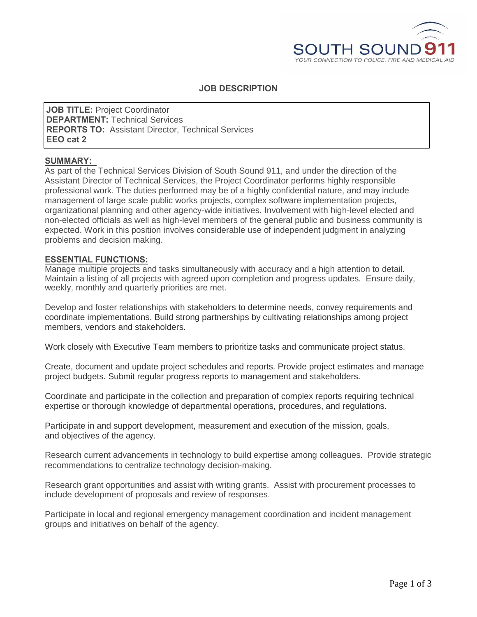

# **JOB DESCRIPTION**

**JOB TITLE:** Project Coordinator **DEPARTMENT:** Technical Services **REPORTS TO:** Assistant Director, Technical Services **EEO cat 2**

#### **SUMMARY:**

As part of the Technical Services Division of South Sound 911, and under the direction of the Assistant Director of Technical Services, the Project Coordinator performs highly responsible professional work. The duties performed may be of a highly confidential nature, and may include management of large scale public works projects, complex software implementation projects, organizational planning and other agency-wide initiatives. Involvement with high-level elected and non-elected officials as well as high-level members of the general public and business community is expected. Work in this position involves considerable use of independent judgment in analyzing problems and decision making.

### **ESSENTIAL FUNCTIONS:**

Manage multiple projects and tasks simultaneously with accuracy and a high attention to detail. Maintain a listing of all projects with agreed upon completion and progress updates. Ensure daily, weekly, monthly and quarterly priorities are met.

Develop and foster relationships with stakeholders to determine needs, convey requirements and coordinate implementations. Build strong partnerships by cultivating relationships among project members, vendors and stakeholders.

Work closely with Executive Team members to prioritize tasks and communicate project status.

Create, document and update project schedules and reports. Provide project estimates and manage project budgets. Submit regular progress reports to management and stakeholders.

Coordinate and participate in the collection and preparation of complex reports requiring technical expertise or thorough knowledge of departmental operations, procedures, and regulations.

Participate in and support development, measurement and execution of the mission, goals, and objectives of the agency.

Research current advancements in technology to build expertise among colleagues. Provide strategic recommendations to centralize technology decision-making.

Research grant opportunities and assist with writing grants. Assist with procurement processes to include development of proposals and review of responses.

Participate in local and regional emergency management coordination and incident management groups and initiatives on behalf of the agency.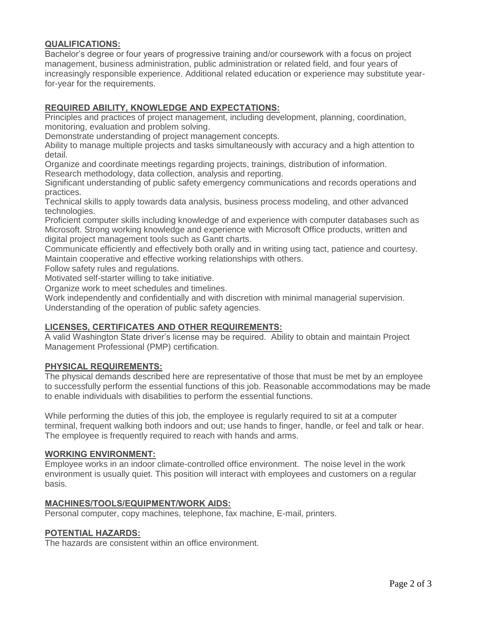# **QUALIFICATIONS:**

Bachelor's degree or four years of progressive training and/or coursework with a focus on project management, business administration, public administration or related field, and four years of increasingly responsible experience. Additional related education or experience may substitute yearfor-year for the requirements.

## **REQUIRED ABILITY, KNOWLEDGE AND EXPECTATIONS:**

Principles and practices of project management, including development, planning, coordination, monitoring, evaluation and problem solving.

Demonstrate understanding of project management concepts.

Ability to manage multiple projects and tasks simultaneously with accuracy and a high attention to detail.

Organize and coordinate meetings regarding projects, trainings, distribution of information. Research methodology, data collection, analysis and reporting.

Significant understanding of public safety emergency communications and records operations and practices.

Technical skills to apply towards data analysis, business process modeling, and other advanced technologies.

Proficient computer skills including knowledge of and experience with computer databases such as Microsoft. Strong working knowledge and experience with Microsoft Office products, written and digital project management tools such as Gantt charts.

Communicate efficiently and effectively both orally and in writing using tact, patience and courtesy. Maintain cooperative and effective working relationships with others.

Follow safety rules and regulations.

Motivated self-starter willing to take initiative.

Organize work to meet schedules and timelines.

Work independently and confidentially and with discretion with minimal managerial supervision. Understanding of the operation of public safety agencies.

## **LICENSES, CERTIFICATES AND OTHER REQUIREMENTS:**

A valid Washington State driver's license may be required. Ability to obtain and maintain Project Management Professional (PMP) certification.

#### **PHYSICAL REQUIREMENTS:**

The physical demands described here are representative of those that must be met by an employee to successfully perform the essential functions of this job. Reasonable accommodations may be made to enable individuals with disabilities to perform the essential functions.

While performing the duties of this job, the employee is regularly required to sit at a computer terminal, frequent walking both indoors and out; use hands to finger, handle, or feel and talk or hear. The employee is frequently required to reach with hands and arms.

#### **WORKING ENVIRONMENT:**

Employee works in an indoor climate-controlled office environment. The noise level in the work environment is usually quiet. This position will interact with employees and customers on a regular basis.

#### **MACHINES/TOOLS/EQUIPMENT/WORK AIDS:**

Personal computer, copy machines, telephone, fax machine, E-mail, printers.

#### **POTENTIAL HAZARDS:**

The hazards are consistent within an office environment.